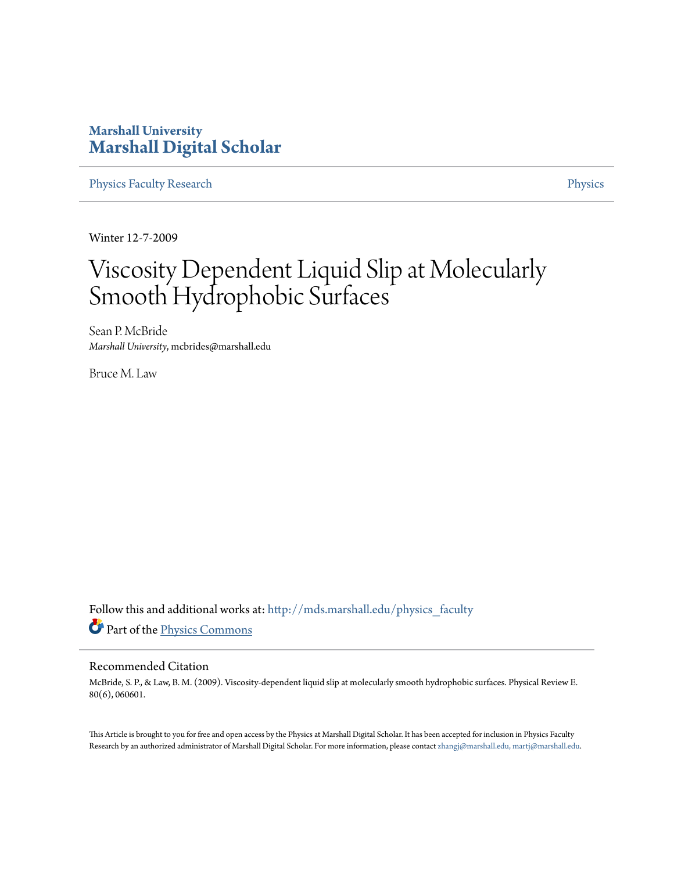## **Marshall University [Marshall Digital Scholar](http://mds.marshall.edu?utm_source=mds.marshall.edu%2Fphysics_faculty%2F57&utm_medium=PDF&utm_campaign=PDFCoverPages)**

[Physics Faculty Research](http://mds.marshall.edu/physics_faculty?utm_source=mds.marshall.edu%2Fphysics_faculty%2F57&utm_medium=PDF&utm_campaign=PDFCoverPages) **[Physics](http://mds.marshall.edu/physics?utm_source=mds.marshall.edu%2Fphysics_faculty%2F57&utm_medium=PDF&utm_campaign=PDFCoverPages)** 

Winter 12-7-2009

# Viscosity Dependent Liquid Slip at Molecularly Smooth Hydrophobic Surfaces

Sean P. McBride *Marshall University*, mcbrides@marshall.edu

Bruce M. Law

Follow this and additional works at: [http://mds.marshall.edu/physics\\_faculty](http://mds.marshall.edu/physics_faculty?utm_source=mds.marshall.edu%2Fphysics_faculty%2F57&utm_medium=PDF&utm_campaign=PDFCoverPages) Part of the [Physics Commons](http://network.bepress.com/hgg/discipline/193?utm_source=mds.marshall.edu%2Fphysics_faculty%2F57&utm_medium=PDF&utm_campaign=PDFCoverPages)

### Recommended Citation

McBride, S. P., & Law, B. M. (2009). Viscosity-dependent liquid slip at molecularly smooth hydrophobic surfaces. Physical Review E. 80(6), 060601.

This Article is brought to you for free and open access by the Physics at Marshall Digital Scholar. It has been accepted for inclusion in Physics Faculty Research by an authorized administrator of Marshall Digital Scholar. For more information, please contact [zhangj@marshall.edu, martj@marshall.edu.](mailto:zhangj@marshall.edu,%20martj@marshall.edu)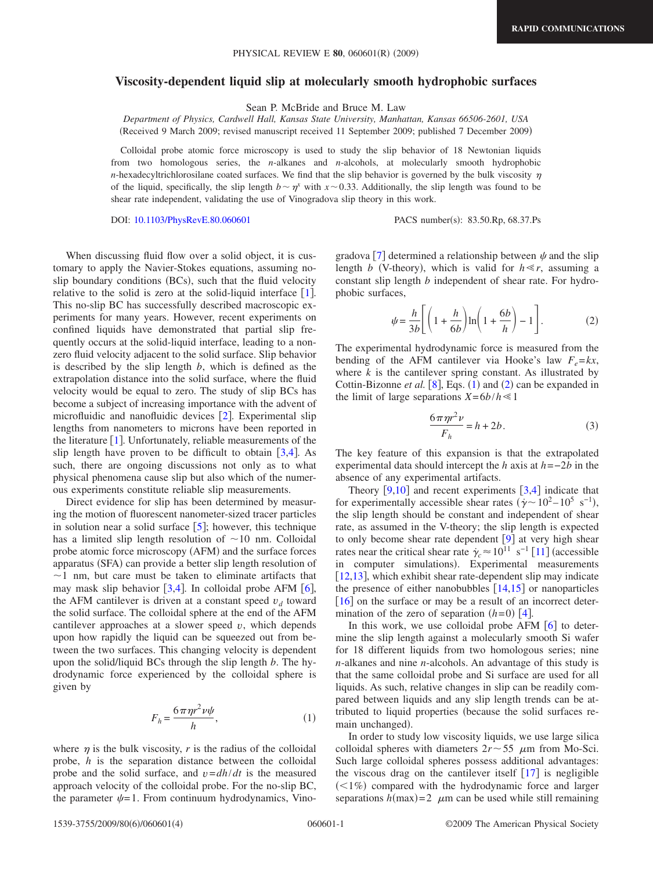#### **Viscosity-dependent liquid slip at molecularly smooth hydrophobic surfaces**

Sean P. McBride and Bruce M. Law

*Department of Physics, Cardwell Hall, Kansas State University, Manhattan, Kansas 66506-2601, USA* Received 9 March 2009; revised manuscript received 11 September 2009; published 7 December 2009-

Colloidal probe atomic force microscopy is used to study the slip behavior of 18 Newtonian liquids from two homologous series, the *n*-alkanes and *n*-alcohols, at molecularly smooth hydrophobic *n*-hexadecyltrichlorosilane coated surfaces. We find that the slip behavior is governed by the bulk viscosity  $\eta$ of the liquid, specifically, the slip length  $b \sim \eta^x$  with  $x \sim 0.33$ . Additionally, the slip length was found to be shear rate independent, validating the use of Vinogradova slip theory in this work.

DOI: [10.1103/PhysRevE.80.060601](http://dx.doi.org/10.1103/PhysRevE.80.060601)

PACS number(s): 83.50.Rp, 68.37.Ps

When discussing fluid flow over a solid object, it is customary to apply the Navier-Stokes equations, assuming noslip boundary conditions (BCs), such that the fluid velocity relative to the solid is zero at the solid-liquid interface  $[1]$  $[1]$  $[1]$ . This no-slip BC has successfully described macroscopic experiments for many years. However, recent experiments on confined liquids have demonstrated that partial slip frequently occurs at the solid-liquid interface, leading to a nonzero fluid velocity adjacent to the solid surface. Slip behavior is described by the slip length *b*, which is defined as the extrapolation distance into the solid surface, where the fluid velocity would be equal to zero. The study of slip BCs has become a subject of increasing importance with the advent of microfluidic and nanofluidic devices  $\lceil 2 \rceil$  $\lceil 2 \rceil$  $\lceil 2 \rceil$ . Experimental slip lengths from nanometers to microns have been reported in the literature  $[1]$  $[1]$  $[1]$ . Unfortunately, reliable measurements of the slip length have proven to be difficult to obtain  $[3,4]$  $[3,4]$  $[3,4]$  $[3,4]$ . As such, there are ongoing discussions not only as to what physical phenomena cause slip but also which of the numerous experiments constitute reliable slip measurements.

Direct evidence for slip has been determined by measuring the motion of fluorescent nanometer-sized tracer particles in solution near a solid surface  $\lceil 5 \rceil$  $\lceil 5 \rceil$  $\lceil 5 \rceil$ ; however, this technique has a limited slip length resolution of  $\sim$ 10 nm. Colloidal probe atomic force microscopy (AFM) and the surface forces apparatus (SFA) can provide a better slip length resolution of  $\sim$ 1 nm, but care must be taken to eliminate artifacts that may mask slip behavior  $\lceil 3, 4 \rceil$  $\lceil 3, 4 \rceil$  $\lceil 3, 4 \rceil$ . In colloidal probe AFM  $\lceil 6 \rceil$  $\lceil 6 \rceil$  $\lceil 6 \rceil$ , the AFM cantilever is driven at a constant speed  $v_d$  toward the solid surface. The colloidal sphere at the end of the AFM cantilever approaches at a slower speed *v*, which depends upon how rapidly the liquid can be squeezed out from between the two surfaces. This changing velocity is dependent upon the solid/liquid BCs through the slip length *b*. The hydrodynamic force experienced by the colloidal sphere is given by

$$
F_h = \frac{6\pi\eta r^2 \nu \psi}{h},\tag{1}
$$

<span id="page-1-0"></span>where  $\eta$  is the bulk viscosity, *r* is the radius of the colloidal probe, *h* is the separation distance between the colloidal probe and the solid surface, and *v*=*dh*/*dt* is the measured approach velocity of the colloidal probe. For the no-slip BC, the parameter  $\psi = 1$ . From continuum hydrodynamics, Vino-

gradova [[7](#page-4-6)] determined a relationship between  $\psi$  and the slip length *b* (V-theory), which is valid for  $h \ll r$ , assuming a constant slip length *b* independent of shear rate. For hydrophobic surfaces,

$$
\psi = \frac{h}{3b} \left[ \left( 1 + \frac{h}{6b} \right) \ln \left( 1 + \frac{6b}{h} \right) - 1 \right].
$$
 (2)

<span id="page-1-1"></span>The experimental hydrodynamic force is measured from the bending of the AFM cantilever via Hooke's law  $F_e = kx$ , where  $k$  is the cantilever spring constant. As illustrated by Cottin-Bizonne *et al.*  $[8]$  $[8]$  $[8]$ , Eqs.  $(1)$  $(1)$  $(1)$  and  $(2)$  $(2)$  $(2)$  can be expanded in the limit of large separations  $X=6b/h \le 1$ 

$$
\frac{6\pi\eta r^2 \nu}{F_h} = h + 2b. \tag{3}
$$

<span id="page-1-2"></span>The key feature of this expansion is that the extrapolated experimental data should intercept the *h* axis at *h*=−2*b* in the absence of any experimental artifacts.

Theory  $[9,10]$  $[9,10]$  $[9,10]$  $[9,10]$  and recent experiments  $[3,4]$  $[3,4]$  $[3,4]$  $[3,4]$  indicate that for experimentally accessible shear rates  $(\dot{\gamma} \sim 10^2 - 10^5 \text{ s}^{-1})$ , the slip length should be constant and independent of shear rate, as assumed in the V-theory; the slip length is expected to only become shear rate dependent  $[9]$  $[9]$  $[9]$  at very high shear rates near the critical shear rate  $\dot{\gamma}_c \approx 10^{11} \text{ s}^{-1} [11]$  $\dot{\gamma}_c \approx 10^{11} \text{ s}^{-1} [11]$  $\dot{\gamma}_c \approx 10^{11} \text{ s}^{-1} [11]$  (accessible in computer simulations). Experimental measurements [[12,](#page-4-11)[13](#page-4-12)], which exhibit shear rate-dependent slip may indicate the presence of either nanobubbles  $\left[14,15\right]$  $\left[14,15\right]$  $\left[14,15\right]$  $\left[14,15\right]$  or nanoparticles  $\lceil 16 \rceil$  $\lceil 16 \rceil$  $\lceil 16 \rceil$  on the surface or may be a result of an incorrect determination of the zero of separation  $(h=0)$  [[4](#page-4-3)].

In this work, we use colloidal probe AFM  $\lceil 6 \rceil$  $\lceil 6 \rceil$  $\lceil 6 \rceil$  to determine the slip length against a molecularly smooth Si wafer for 18 different liquids from two homologous series; nine *n*-alkanes and nine *n*-alcohols. An advantage of this study is that the same colloidal probe and Si surface are used for all liquids. As such, relative changes in slip can be readily compared between liquids and any slip length trends can be attributed to liquid properties (because the solid surfaces remain unchanged).

In order to study low viscosity liquids, we use large silica colloidal spheres with diameters  $2r \sim 55$   $\mu$ m from Mo-Sci. Such large colloidal spheres possess additional advantages: the viscous drag on the cantilever itself  $[17]$  $[17]$  $[17]$  is negligible (<1%) compared with the hydrodynamic force and larger separations  $h(\text{max}) = 2$   $\mu$ m can be used while still remaining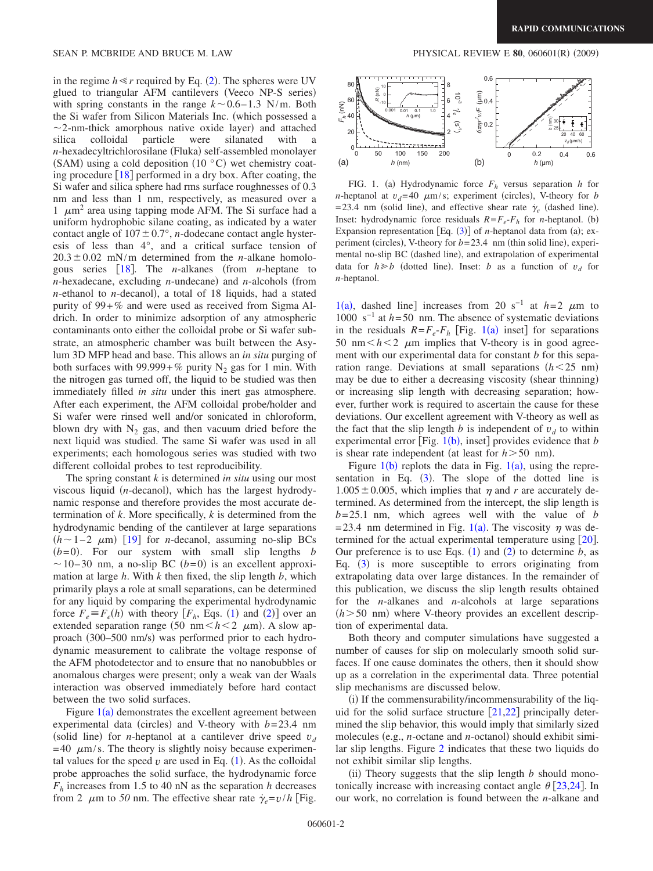in the regime  $h \ll r$  required by Eq. ([2](#page-1-1)). The spheres were UV glued to triangular AFM cantilevers (Veeco NP-S series) with spring constants in the range  $k \sim 0.6 - 1.3$  N/m. Both the Si wafer from Silicon Materials Inc. (which possessed a  $\sim$ 2-nm-thick amorphous native oxide layer) and attached silica colloidal particle were silanated with n-hexadecyltrichlorosilane (Fluka) self-assembled monolayer (SAM) using a cold deposition  $(10 \degree C)$  wet chemistry coating procedure  $\lceil 18 \rceil$  $\lceil 18 \rceil$  $\lceil 18 \rceil$  performed in a dry box. After coating, the Si wafer and silica sphere had rms surface roughnesses of 0.3 nm and less than 1 nm, respectively, as measured over a 1  $\mu$ m<sup>2</sup> area using tapping mode AFM. The Si surface had a uniform hydrophobic silane coating, as indicated by a water contact angle of  $107 \pm 0.7$ °, *n*-dodecane contact angle hysteresis of less than 4°, and a critical surface tension of  $20.3 \pm 0.02$  mN/m determined from the *n*-alkane homolo-gous series [[18](#page-4-17)]. The *n*-alkanes (from *n*-heptane to *n*-hexadecane, excluding *n*-undecane) and *n*-alcohols (from *n*-ethanol to *n*-decanol), a total of 18 liquids, had a stated purity of 99+*%* and were used as received from Sigma Aldrich. In order to minimize adsorption of any atmospheric contaminants onto either the colloidal probe or Si wafer substrate, an atmospheric chamber was built between the Asylum 3D MFP head and base. This allows an *in situ* purging of both surfaces with  $99.999 + %$  purity N<sub>2</sub> gas for 1 min. With the nitrogen gas turned off, the liquid to be studied was then immediately filled *in situ* under this inert gas atmosphere. After each experiment, the AFM colloidal probe/holder and Si wafer were rinsed well and/or sonicated in chloroform, blown dry with  $N_2$  gas, and then vacuum dried before the next liquid was studied. The same Si wafer was used in all experiments; each homologous series was studied with two different colloidal probes to test reproducibility.

The spring constant *k* is determined *in situ* using our most viscous liquid (n-decanol), which has the largest hydrodynamic response and therefore provides the most accurate determination of *k*. More specifically, *k* is determined from the hydrodynamic bending of the cantilever at large separations  $(h \sim 1-2$   $\mu$ m) [[19](#page-4-18)] for *n*-decanol, assuming no-slip BCs  $(b=0)$ . For our system with small slip lengths *b*  $\sim$  10–30 nm, a no-slip BC (b=0) is an excellent approximation at large *h*. With *k* then fixed, the slip length *b*, which primarily plays a role at small separations, can be determined for any liquid by comparing the experimental hydrodynamic force  $F_e \equiv F_e(h)$  with theory  $[F_h, Eqs. (1)$  $[F_h, Eqs. (1)$  $[F_h, Eqs. (1)$  and ([2](#page-1-1))] over an extended separation range (50 nm $\lt h \lt 2$   $\mu$ m). A slow approach (300-500 nm/s) was performed prior to each hydrodynamic measurement to calibrate the voltage response of the AFM photodetector and to ensure that no nanobubbles or anomalous charges were present; only a weak van der Waals interaction was observed immediately before hard contact between the two solid surfaces.

Figure  $1(a)$  $1(a)$  demonstrates the excellent agreement between experimental data (circles) and V-theory with  $b = 23.4$  nm (solid line) for *n*-heptanol at a cantilever drive speed  $v_d$  $= 40 \mu m/s$ . The theory is slightly noisy because experimental values for the speed  $v$  are used in Eq.  $(1)$  $(1)$  $(1)$ . As the colloidal probe approaches the solid surface, the hydrodynamic force  $F<sub>h</sub>$  increases from 1.5 to 40 nN as the separation *h* decreases from 2  $\mu$ m to 50 nm. The effective shear rate  $\dot{\gamma}_e = v/h$  [Fig.

#### $(2009)$

<span id="page-2-0"></span>

FIG. 1. (a) Hydrodynamic force  $F<sub>h</sub>$  versus separation *h* for *n*-heptanol at  $v_d$ =40  $\mu$ m/s; experiment (circles), V-theory for *b*  $= 23.4$  nm (solid line), and effective shear rate  $\dot{\gamma}_e$  (dashed line). Inset: hydrodynamic force residuals  $R = F_e - F_h$  for *n*-heptanol. (b) Expansion representation  $[Eq. (3)]$  $[Eq. (3)]$  $[Eq. (3)]$  of *n*-heptanol data from (a); experiment (circles), V-theory for  $b = 23.4$  nm (thin solid line), experimental no-slip BC (dashed line), and extrapolation of experimental data for  $h \ge b$  (dotted line). Inset: *b* as a function of  $v_d$  for *n*-heptanol.

 $1(a)$  $1(a)$ , dashed line] increases from 20 s<sup>-1</sup> at *h*=2  $\mu$ m to 1000 s−1 at *h*= 50 nm. The absence of systematic deviations in the residuals  $R = F_e - F_h$  [Fig. [1](#page-2-0)(a) inset] for separations 50 nm $\leq h \leq 2$   $\mu$ m implies that V-theory is in good agreement with our experimental data for constant *b* for this separation range. Deviations at small separations  $(h<25$  nm) may be due to either a decreasing viscosity (shear thinning) or increasing slip length with decreasing separation; however, further work is required to ascertain the cause for these deviations. Our excellent agreement with V-theory as well as the fact that the slip length *b* is independent of  $v_d$  to within experimental error [Fig.  $1(b)$  $1(b)$ , inset] provides evidence that *b* is shear rate independent (at least for  $h > 50$  nm).

Figure  $1(b)$  $1(b)$  replots the data in Fig.  $1(a)$ , using the representation in Eq.  $(3)$  $(3)$  $(3)$ . The slope of the dotted line is  $1.005 \pm 0.005$ , which implies that  $\eta$  and r are accurately determined. As determined from the intercept, the slip length is  $b = 25.1$  nm, which agrees well with the value of *b* = 23.4 nm determined in Fig. [1](#page-2-0)(a). The viscosity  $\eta$  was determined for the actual experimental temperature using  $\lceil 20 \rceil$  $\lceil 20 \rceil$  $\lceil 20 \rceil$ . Our preference is to use Eqs.  $(1)$  $(1)$  $(1)$  and  $(2)$  $(2)$  $(2)$  to determine *b*, as Eq.  $(3)$  $(3)$  $(3)$  is more susceptible to errors originating from extrapolating data over large distances. In the remainder of this publication, we discuss the slip length results obtained for the *n*-alkanes and *n*-alcohols at large separations  $(h > 50$  nm) where V-theory provides an excellent description of experimental data. **Each correlation** is found between the  $\frac{1}{2}$  e (s)  $\frac{1}{2}$  (a)  $\frac{1}{2}$  (a)  $\frac{1}{2}$  (a)  $\frac{1}{2}$  (a)  $\frac{1}{2}$  (a)  $\frac{1}{2}$  (a)  $\frac{1}{2}$  (a)  $\frac{1}{2}$  (a)  $\frac{1}{2}$  (a)  $\frac{1}{2}$  (a)  $\frac{1}{2}$  (a)  $\frac{1}{2}$  (

Both theory and computer simulations have suggested a number of causes for slip on molecularly smooth solid surfaces. If one cause dominates the others, then it should show up as a correlation in the experimental data. Three potential slip mechanisms are discussed below.

(i) If the commensurability/incommensurability of the liquid for the solid surface structure  $[21,22]$  $[21,22]$  $[21,22]$  $[21,22]$  principally determined the slip behavior, this would imply that similarly sized molecules (e.g., *n*-octane and *n*-octanol) should exhibit similar slip lengths. Figure [2](#page-3-0) indicates that these two liquids do not exhibit similar slip lengths.

(ii) Theory suggests that the slip length  $b$  should monotonically increase with increasing contact angle  $\theta$  [[23](#page-4-22)[,24](#page-4-23)]. In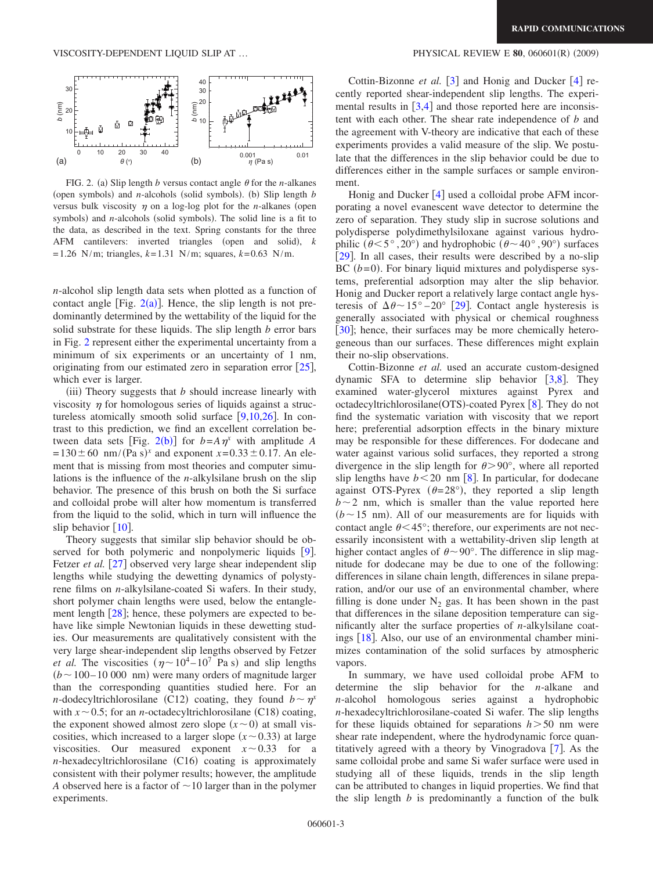<span id="page-3-0"></span>

FIG. 2. (a) Slip length *b* versus contact angle  $\theta$  for the *n*-alkanes (open symbols) and *n*-alcohols (solid symbols). (b) Slip length  $b$ versus bulk viscosity  $\eta$  on a log-log plot for the *n*-alkanes (open symbols) and *n*-alcohols (solid symbols). The solid line is a fit to the data, as described in the text. Spring constants for the three AFM cantilevers: inverted triangles (open and solid), *k*  $= 1.26$  N/m; triangles,  $k=1.31$  N/m; squares,  $k=0.63$  N/m.

*n*-alcohol slip length data sets when plotted as a function of contact angle [Fig.  $2(a)$  $2(a)$ ]. Hence, the slip length is not predominantly determined by the wettability of the liquid for the solid substrate for these liquids. The slip length *b* error bars in Fig. [2](#page-3-0) represent either the experimental uncertainty from a minimum of six experiments or an uncertainty of 1 nm, originating from our estimated zero in separation error  $[25]$  $[25]$  $[25]$ , which ever is larger.

 $(iii)$  Theory suggests that  $b$  should increase linearly with viscosity  $\eta$  for homologous series of liquids against a structureless atomically smooth solid surface  $[9,10,26]$  $[9,10,26]$  $[9,10,26]$  $[9,10,26]$  $[9,10,26]$ . In contrast to this prediction, we find an excellent correlation be-tween data sets [Fig. [2](#page-3-0)(b)] for  $b = A \eta^x$  with amplitude *A*  $x = 130 \pm 60$  nm/(Pa s)<sup>x</sup> and exponent  $x = 0.33 \pm 0.17$ . An element that is missing from most theories and computer simulations is the influence of the *n*-alkylsilane brush on the slip behavior. The presence of this brush on both the Si surface and colloidal probe will alter how momentum is transferred from the liquid to the solid, which in turn will influence the slip behavior  $[10]$  $[10]$  $[10]$ .

Theory suggests that similar slip behavior should be observed for both polymeric and nonpolymeric liquids  $[9]$  $[9]$  $[9]$ . Fetzer *et al.* [[27](#page-4-26)] observed very large shear independent slip lengths while studying the dewetting dynamics of polystyrene films on *n*-alkylsilane-coated Si wafers. In their study, short polymer chain lengths were used, below the entanglement length  $\lceil 28 \rceil$  $\lceil 28 \rceil$  $\lceil 28 \rceil$ ; hence, these polymers are expected to behave like simple Newtonian liquids in these dewetting studies. Our measurements are qualitatively consistent with the very large shear-independent slip lengths observed by Fetzer *et al.* The viscosities  $(\eta \sim 10^4 - 10^7 \text{ Pa s})$  and slip lengths  $(b \sim 100 - 10000$  nm) were many orders of magnitude larger than the corresponding quantities studied here. For an *n*-dodecyltrichlorosilane (C12) coating, they found  $b \sim \eta^x$ with  $x \sim 0.5$ ; for an *n*-octadecyltrichlorosilane (C18) coating, the exponent showed almost zero slope  $(x \sim 0)$  at small viscosities, which increased to a larger slope  $(x \sim 0.33)$  at large viscosities. Our measured exponent  $x \sim 0.33$  for a *n*-hexadecyltrichlorosilane (C16) coating is approximately consistent with their polymer results; however, the amplitude *A* observed here is a factor of  $\sim$  10 larger than in the polymer experiments.

#### $(2009)$

Cottin-Bizonne *et al.* [[3](#page-4-2)] and Honig and Ducker [[4](#page-4-3)] recently reported shear-independent slip lengths. The experimental results in  $\left[3,4\right]$  $\left[3,4\right]$  $\left[3,4\right]$  $\left[3,4\right]$  and those reported here are inconsistent with each other. The shear rate independence of *b* and the agreement with V-theory are indicative that each of these experiments provides a valid measure of the slip. We postulate that the differences in the slip behavior could be due to differences either in the sample surfaces or sample environment.

Honig and Ducker  $\lceil 4 \rceil$  $\lceil 4 \rceil$  $\lceil 4 \rceil$  used a colloidal probe AFM incorporating a novel evanescent wave detector to determine the zero of separation. They study slip in sucrose solutions and polydisperse polydimethylsiloxane against various hydrophilic  $(\theta \le 5^{\circ}, 20^{\circ})$  and hydrophobic  $(\theta \sim 40^{\circ}, 90^{\circ})$  surfaces [[29](#page-4-28)]. In all cases, their results were described by a no-slip  $BC (b=0)$ . For binary liquid mixtures and polydisperse systems, preferential adsorption may alter the slip behavior. Honig and Ducker report a relatively large contact angle hysteresis of  $\Delta \theta \sim 15^{\circ} - 20^{\circ}$  [[29](#page-4-28)]. Contact angle hysteresis is generally associated with physical or chemical roughness [[30](#page-4-29)]; hence, their surfaces may be more chemically heterogeneous than our surfaces. These differences might explain their no-slip observations.

Cottin-Bizonne *et al.* used an accurate custom-designed dynamic SFA to determine slip behavior  $\lceil 3, 8 \rceil$  $\lceil 3, 8 \rceil$  $\lceil 3, 8 \rceil$ . They examined water-glycerol mixtures against Pyrex and octadecyltrichlorosilane(OTS)-coated Pyrex [[8](#page-4-7)]. They do not find the systematic variation with viscosity that we report here; preferential adsorption effects in the binary mixture may be responsible for these differences. For dodecane and water against various solid surfaces, they reported a strong divergence in the slip length for  $\theta > 90^{\circ}$ , where all reported slip lengths have  $b < 20$  nm  $\left[ 8 \right]$  $\left[ 8 \right]$  $\left[ 8 \right]$ . In particular, for dodecane against OTS-Pyrex ( $\theta = 28^{\circ}$ ), they reported a slip length  $b \sim 2$  nm, which is smaller than the value reported here  $(b \sim 15$  nm). All of our measurements are for liquids with contact angle  $\theta$ <45°; therefore, our experiments are not necessarily inconsistent with a wettability-driven slip length at higher contact angles of  $\theta \sim 90^{\circ}$ . The difference in slip magnitude for dodecane may be due to one of the following: differences in silane chain length, differences in silane preparation, and/or our use of an environmental chamber, where filling is done under  $N_2$  gas. It has been shown in the past that differences in the silane deposition temperature can significantly alter the surface properties of *n*-alkylsilane coatings  $[18]$  $[18]$  $[18]$ . Also, our use of an environmental chamber minimizes contamination of the solid surfaces by atmospheric vapors.

In summary, we have used colloidal probe AFM to determine the slip behavior for the *n*-alkane and *n*-alcohol homologous series against a hydrophobic *n*-hexadecyltrichlorosilane-coated Si wafer. The slip lengths for these liquids obtained for separations *h* 50 nm were shear rate independent, where the hydrodynamic force quantitatively agreed with a theory by Vinogradova  $[7]$  $[7]$  $[7]$ . As the same colloidal probe and same Si wafer surface were used in studying all of these liquids, trends in the slip length can be attributed to changes in liquid properties. We find that the slip length *b* is predominantly a function of the bulk